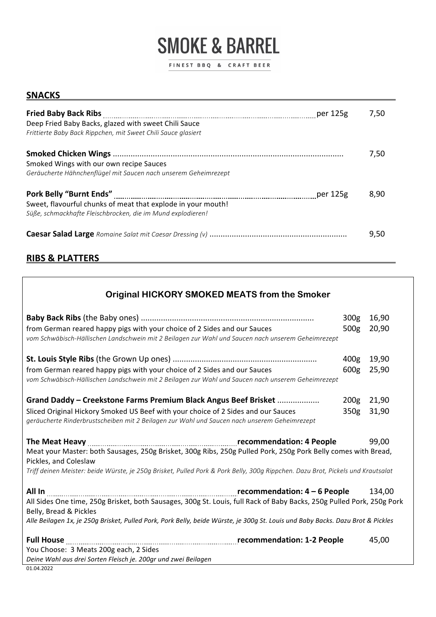# **SMOKE & BARREL**

FINEST BBQ & CRAFT BEER

#### **SNACKS**

| Fried Baby Back Ribs [100] per 125g<br>Deep Fried Baby Backs, glazed with sweet Chili Sauce<br>Frittierte Baby Back Rippchen, mit Sweet Chili Sauce glasiert                                                                                  | 7,50 |
|-----------------------------------------------------------------------------------------------------------------------------------------------------------------------------------------------------------------------------------------------|------|
| Smoked Wings with our own recipe Sauces<br>Geräucherte Hähnchenflügel mit Saucen nach unserem Geheimrezept                                                                                                                                    | 7,50 |
| Pork Belly "Burnt Ends" Material According to the USS of the USS of the USS of the USS of the USS of the USS o<br>Sweet, flavourful chunks of meat that explode in your mouth!<br>Süße, schmackhafte Fleischbrocken, die im Mund explodieren! | 8.90 |
|                                                                                                                                                                                                                                               | 9,50 |

# **RIBS & PLATTERS**

| <b>Original HICKORY SMOKED MEATS from the Smoker</b>                                                                                                                                                                                                                                                                                                                        |                                      |                |
|-----------------------------------------------------------------------------------------------------------------------------------------------------------------------------------------------------------------------------------------------------------------------------------------------------------------------------------------------------------------------------|--------------------------------------|----------------|
| from German reared happy pigs with your choice of 2 Sides and our Sauces<br>vom Schwäbisch-Hällischen Landschwein mit 2 Beilagen zur Wahl und Saucen nach unserem Geheimrezept                                                                                                                                                                                              | 300 <sub>g</sub><br>500 <sub>g</sub> | 16,90<br>20,90 |
| from German reared happy pigs with your choice of 2 Sides and our Sauces<br>vom Schwäbisch-Hällischen Landschwein mit 2 Beilagen zur Wahl und Saucen nach unserem Geheimrezept                                                                                                                                                                                              | 400 <sub>g</sub><br>600 <sub>g</sub> | 19,90<br>25,90 |
| Grand Daddy - Creekstone Farms Premium Black Angus Beef Brisket<br>Sliced Original Hickory Smoked US Beef with your choice of 2 Sides and our Sauces<br>geräucherte Rinderbrustscheiben mit 2 Beilagen zur Wahl und Saucen nach unserem Geheimrezept                                                                                                                        | 200g<br>350 <sub>g</sub>             | 21,90<br>31,90 |
| Meat your Master: both Sausages, 250g Brisket, 300g Ribs, 250g Pulled Pork, 250g Pork Belly comes with Bread,<br>Pickles, and Coleslaw<br>Triff deinen Meister: beide Würste, je 250g Brisket, Pulled Pork & Pork Belly, 300g Rippchen. Dazu Brot, Pickels und Krautsalat                                                                                                   |                                      | 99,00          |
| All In with the commendation: 4 - 6 People All In with the commendation: 4 - 6 People<br>All Sides One time, 250g Brisket, both Sausages, 300g St. Louis, full Rack of Baby Backs, 250g Pulled Pork, 250g Pork<br>Belly, Bread & Pickles<br>Alle Beilagen 1x, je 250g Brisket, Pulled Pork, Pork Belly, beide Würste, je 300g St. Louis und Baby Backs. Dazu Brot & Pickles |                                      | 134,00         |
| You Choose: 3 Meats 200g each, 2 Sides<br>Deine Wahl aus drei Sorten Fleisch je. 200gr und zwei Beilagen                                                                                                                                                                                                                                                                    |                                      | 45,00          |

01.04.2022